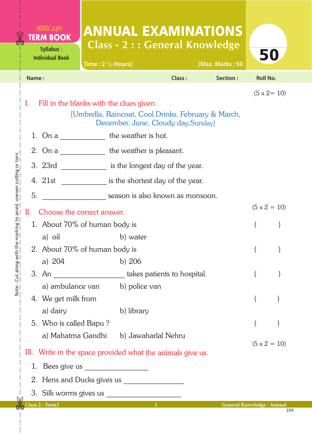|  |                                                                                                                                              | Real Life<br><b>TERM BOOK</b><br>Syllabus:<br><b>Individual Book</b> | Time: $2 \frac{1}{2}$ Hours] |                                       |        | <b>ANNUAL EXAMINATIONS</b><br><b>Class - 2 : : General Knowledge</b><br>[Max. Marks: 50 |                     | 50                  |
|--|----------------------------------------------------------------------------------------------------------------------------------------------|----------------------------------------------------------------------|------------------------------|---------------------------------------|--------|-----------------------------------------------------------------------------------------|---------------------|---------------------|
|  | Name:                                                                                                                                        |                                                                      |                              |                                       | Class: | Section:                                                                                | <b>Roll No.</b>     |                     |
|  | I.<br>Fill in the blanks with the clues given.<br>[Umbrella, Raincoat, Cool Drinks, February & March,<br>December, June, Cloudy day, Sunday] |                                                                      |                              |                                       |        |                                                                                         |                     | $(5 \times 2 = 10)$ |
|  |                                                                                                                                              | 1. On a the weather is hot.                                          |                              |                                       |        |                                                                                         |                     |                     |
|  |                                                                                                                                              | 2. On a the weather is pleasant.                                     |                              |                                       |        |                                                                                         |                     |                     |
|  |                                                                                                                                              | 3. 23rd is the longest day of the year.                              |                              |                                       |        |                                                                                         |                     |                     |
|  |                                                                                                                                              | 4. 21st is the shortest day of the year.                             |                              |                                       |        |                                                                                         |                     |                     |
|  | 5.                                                                                                                                           | season is also known as monsoon.                                     |                              |                                       |        |                                                                                         |                     |                     |
|  | Н.                                                                                                                                           | Choose the correct answer.                                           |                              |                                       |        |                                                                                         | $(5 \times 2 = 10)$ |                     |
|  |                                                                                                                                              | 1. About 70% of human body is                                        |                              |                                       |        |                                                                                         |                     |                     |
|  |                                                                                                                                              | a) oil                                                               |                              | b) water                              |        |                                                                                         |                     |                     |
|  | 2. About 70% of human body is                                                                                                                |                                                                      |                              |                                       |        |                                                                                         | $\left($            |                     |
|  |                                                                                                                                              | a) $204$                                                             |                              | b) $206$                              |        |                                                                                         |                     |                     |
|  |                                                                                                                                              | 3. An ________________________ takes patients to hospital.           |                              | a) ambulance van b) police van        |        |                                                                                         |                     |                     |
|  |                                                                                                                                              | 4. We get milk from                                                  |                              |                                       |        |                                                                                         |                     |                     |
|  |                                                                                                                                              | a) dairy                                                             |                              | b) library                            |        |                                                                                         |                     |                     |
|  |                                                                                                                                              | 5. Who is called Bapu?                                               |                              |                                       |        |                                                                                         |                     |                     |
|  |                                                                                                                                              |                                                                      |                              | a) Mahatma Gandhi b) Jawaharlal Nehru |        |                                                                                         |                     |                     |
|  |                                                                                                                                              | III. Write in the space provided what the animals give us.           |                              |                                       |        |                                                                                         |                     | $(5 \times 2 = 10)$ |
|  |                                                                                                                                              | 1. Bees give us<br><u> 1980 - Jan Samuel II, primeira e</u>          |                              |                                       |        |                                                                                         |                     |                     |
|  |                                                                                                                                              |                                                                      |                              |                                       |        |                                                                                         |                     |                     |
|  |                                                                                                                                              |                                                                      |                              |                                       |        |                                                                                         |                     |                     |
|  |                                                                                                                                              | Class 2 : Term3                                                      |                              |                                       |        | <b>General Knowledge: Annual</b>                                                        |                     |                     |